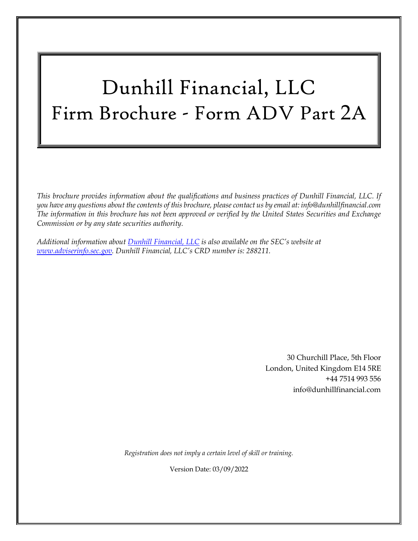# Dunhill Financial, LLC Firm Brochure - Form ADV Part 2A

*This brochure provides information about the qualifications and business practices of Dunhill Financial, LLC. If you have any questions about the contents of this brochure, please contact us by email at: info@dunhillfinancial.com The information in this brochure has not been approved or verified by the United States Securities and Exchange Commission or by any state securities authority.*

*Additional information about Dunhill Financial, LLC is also available on the SEC's website at [www.adviserinfo.sec.gov.](http://www.adviserinfo.sec.gov/) Dunhill Financial, LLC's CRD number is: 288211.*

> 30 Churchill Place, 5th Floor London, United Kingdom E14 5RE +44 7514 993 556 info@dunhillfinancial.com

*Registration does not imply a certain level of skill or training.*

Version Date: 03/09/2022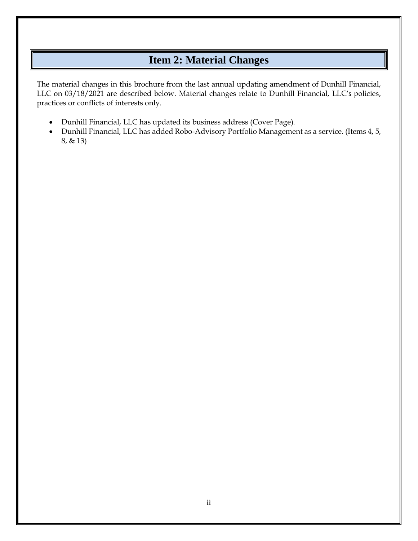## **Item 2: Material Changes**

<span id="page-1-0"></span>The material changes in this brochure from the last annual updating amendment of Dunhill Financial, LLC on 03/18/2021 are described below. Material changes relate to Dunhill Financial, LLC's policies, practices or conflicts of interests only.

- Dunhill Financial, LLC has updated its business address (Cover Page).
- Dunhill Financial, LLC has added Robo-Advisory Portfolio Management as a service. (Items 4, 5, 8, & 13)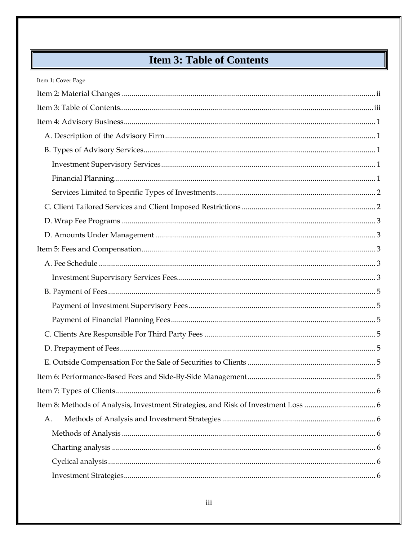# **Item 3: Table of Contents**

<span id="page-2-0"></span>

| Item 1: Cover Page |
|--------------------|
|                    |
|                    |
|                    |
|                    |
|                    |
|                    |
|                    |
|                    |
|                    |
|                    |
|                    |
|                    |
|                    |
|                    |
|                    |
|                    |
|                    |
|                    |
|                    |
|                    |
|                    |
|                    |
|                    |
| А.                 |
|                    |
|                    |
|                    |
|                    |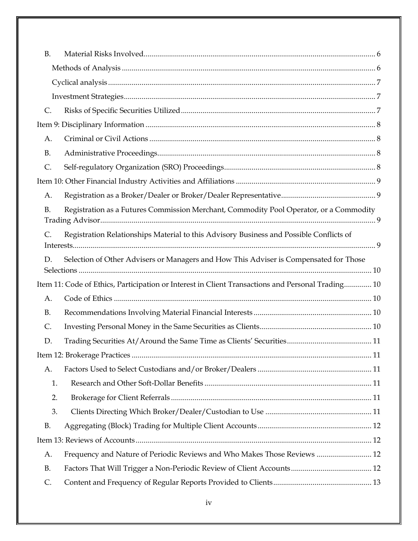| <b>B.</b>     |                                                                                                   |  |
|---------------|---------------------------------------------------------------------------------------------------|--|
|               |                                                                                                   |  |
|               |                                                                                                   |  |
|               |                                                                                                   |  |
| $\mathsf{C}.$ |                                                                                                   |  |
|               |                                                                                                   |  |
| A.            |                                                                                                   |  |
| <b>B.</b>     |                                                                                                   |  |
| C.            |                                                                                                   |  |
|               |                                                                                                   |  |
| A.            |                                                                                                   |  |
| <b>B.</b>     | Registration as a Futures Commission Merchant, Commodity Pool Operator, or a Commodity            |  |
| C.            | Registration Relationships Material to this Advisory Business and Possible Conflicts of           |  |
| D.            | Selection of Other Advisers or Managers and How This Adviser is Compensated for Those             |  |
|               | Item 11: Code of Ethics, Participation or Interest in Client Transactions and Personal Trading 10 |  |
| A.            |                                                                                                   |  |
| <b>B.</b>     |                                                                                                   |  |
| $\mathsf{C}.$ |                                                                                                   |  |
| D.            |                                                                                                   |  |
|               |                                                                                                   |  |
| A.            |                                                                                                   |  |
| 1.            |                                                                                                   |  |
| 2.            |                                                                                                   |  |
| 3.            |                                                                                                   |  |
| <b>B.</b>     |                                                                                                   |  |
|               |                                                                                                   |  |
| A.            | Frequency and Nature of Periodic Reviews and Who Makes Those Reviews  12                          |  |
| <b>B.</b>     |                                                                                                   |  |
| C.            |                                                                                                   |  |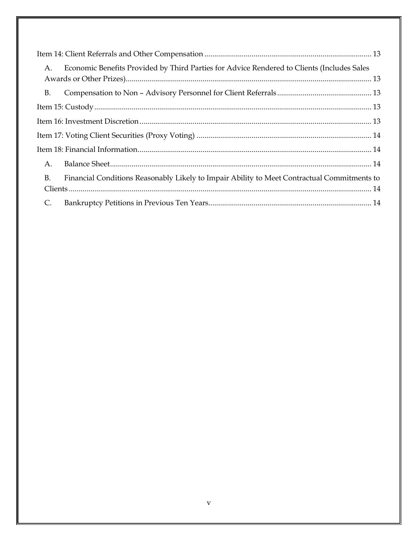| A.        | Economic Benefits Provided by Third Parties for Advice Rendered to Clients (Includes Sales  |
|-----------|---------------------------------------------------------------------------------------------|
|           |                                                                                             |
| <b>B.</b> |                                                                                             |
|           |                                                                                             |
|           |                                                                                             |
|           |                                                                                             |
|           |                                                                                             |
| A.        |                                                                                             |
| <b>B.</b> | Financial Conditions Reasonably Likely to Impair Ability to Meet Contractual Commitments to |
|           |                                                                                             |
| C.        |                                                                                             |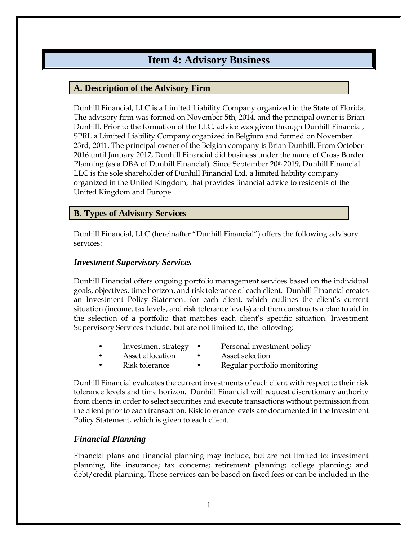### **Item 4: Advisory Business**

#### <span id="page-5-1"></span><span id="page-5-0"></span>**A. Description of the Advisory Firm**

Dunhill Financial, LLC is a Limited Liability Company organized in the State of Florida. The advisory firm was formed on November 5th, 2014, and the principal owner is Brian Dunhill. Prior to the formation of the LLC, advice was given through Dunhill Financial, SPRL a Limited Liability Company organized in Belgium and formed on November 23rd, 2011. The principal owner of the Belgian company is Brian Dunhill. From October 2016 until January 2017, Dunhill Financial did business under the name of Cross Border Planning (as a DBA of Dunhill Financial). Since September 20th 2019, Dunhill Financial LLC is the sole shareholder of Dunhill Financial Ltd, a limited liability company organized in the United Kingdom, that provides financial advice to residents of the United Kingdom and Europe.

#### <span id="page-5-2"></span>**B. Types of Advisory Services**

Dunhill Financial, LLC (hereinafter "Dunhill Financial") offers the following advisory services:

#### <span id="page-5-3"></span>*Investment Supervisory Services*

Dunhill Financial offers ongoing portfolio management services based on the individual goals, objectives, time horizon, and risk tolerance of each client. Dunhill Financial creates an Investment Policy Statement for each client, which outlines the client's current situation (income, tax levels, and risk tolerance levels) and then constructs a plan to aid in the selection of a portfolio that matches each client's specific situation. Investment Supervisory Services include, but are not limited to, the following:

- Investment strategy Personal investment policy
- 
- Asset allocation Asset selection
- - Risk tolerance Regular portfolio monitoring

Dunhill Financial evaluates the current investments of each client with respect to their risk tolerance levels and time horizon. Dunhill Financial will request discretionary authority from clients in order to select securities and execute transactions without permission from the client prior to each transaction. Risk tolerance levels are documented in the Investment Policy Statement, which is given to each client.

#### <span id="page-5-4"></span>*Financial Planning*

Financial plans and financial planning may include, but are not limited to: investment planning, life insurance; tax concerns; retirement planning; college planning; and debt/credit planning. These services can be based on fixed fees or can be included in the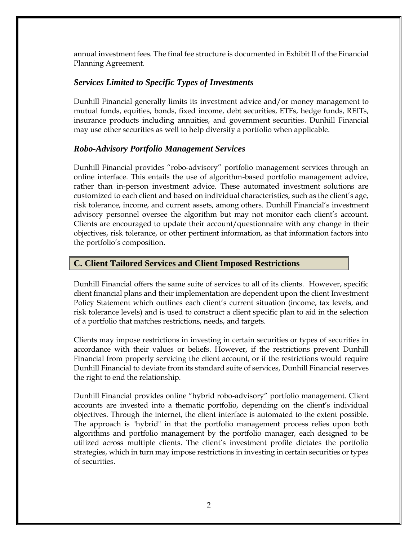annual investment fees. The final fee structure is documented in Exhibit II of the Financial Planning Agreement.

#### <span id="page-6-0"></span>*Services Limited to Specific Types of Investments*

Dunhill Financial generally limits its investment advice and/or money management to mutual funds, equities, bonds, fixed income, debt securities, ETFs, hedge funds, REITs, insurance products including annuities, and government securities. Dunhill Financial may use other securities as well to help diversify a portfolio when applicable.

#### *Robo-Advisory Portfolio Management Services*

Dunhill Financial provides "robo-advisory" portfolio management services through an online interface. This entails the use of algorithm-based portfolio management advice, rather than in-person investment advice. These automated investment solutions are customized to each client and based on individual characteristics, such as the client's age, risk tolerance, income, and current assets, among others. Dunhill Financial's investment advisory personnel oversee the algorithm but may not monitor each client's account. Clients are encouraged to update their account/questionnaire with any change in their objectives, risk tolerance, or other pertinent information, as that information factors into the portfolio's composition.

#### <span id="page-6-1"></span>**C. Client Tailored Services and Client Imposed Restrictions**

Dunhill Financial offers the same suite of services to all of its clients. However, specific client financial plans and their implementation are dependent upon the client Investment Policy Statement which outlines each client's current situation (income, tax levels, and risk tolerance levels) and is used to construct a client specific plan to aid in the selection of a portfolio that matches restrictions, needs, and targets.

Clients may impose restrictions in investing in certain securities or types of securities in accordance with their values or beliefs. However, if the restrictions prevent Dunhill Financial from properly servicing the client account, or if the restrictions would require Dunhill Financial to deviate from its standard suite of services, Dunhill Financial reserves the right to end the relationship.

Dunhill Financial provides online "hybrid robo-advisory" portfolio management. Client accounts are invested into a thematic portfolio, depending on the client's individual objectives. Through the internet, the client interface is automated to the extent possible. The approach is "hybrid" in that the portfolio management process relies upon both algorithms and portfolio management by the portfolio manager, each designed to be utilized across multiple clients. The client's investment profile dictates the portfolio strategies, which in turn may impose restrictions in investing in certain securities or types of securities.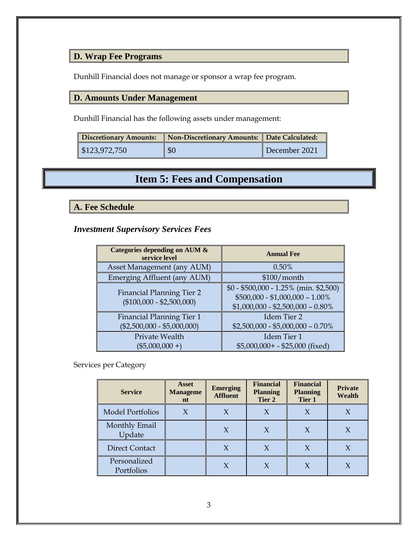### <span id="page-7-0"></span>**D. Wrap Fee Programs**

Dunhill Financial does not manage or sponsor a wrap fee program.

#### <span id="page-7-1"></span>**D. Amounts Under Management**

Dunhill Financial has the following assets under management:

| <b>Discretionary Amounts:</b> | Non-Discretionary Amounts: Date Calculated: |               |  |
|-------------------------------|---------------------------------------------|---------------|--|
| $\$\,123,972,750$             | $\sqrt{50}$                                 | December 2021 |  |

# **Item 5: Fees and Compensation**

#### <span id="page-7-3"></span><span id="page-7-2"></span>**A. Fee Schedule**

<span id="page-7-4"></span>*Investment Supervisory Services Fees*

| Categories depending on AUM &<br>service level                  | <b>Annual Fee</b>                                                                                                 |
|-----------------------------------------------------------------|-------------------------------------------------------------------------------------------------------------------|
| Asset Management (any AUM)                                      | 0.50%                                                                                                             |
| Emerging Affluent (any AUM)                                     | $$100/m$ onth                                                                                                     |
| <b>Financial Planning Tier 2</b><br>$($100,000 - $2,500,000)$   | $$0 - $500,000 - 1.25\%$ (min. \$2,500)<br>$$500,000 - $1,000,000 - 1.00\%$<br>$$1,000,000 - $2,500,000 - 0.80\%$ |
| <b>Financial Planning Tier 1</b><br>$($2,500,000 - $5,000,000)$ | Idem Tier 2<br>$$2,500,000 - $5,000,000 - 0.70\%$                                                                 |
| Private Wealth<br>$(\$5,000,000 +)$                             | Idem Tier 1<br>$$5,000,000+ - $25,000$ (fixed)                                                                    |

#### Services per Category

| <b>Service</b>             | <b>Asset</b><br><b>Manageme</b><br>nt | <b>Emerging</b><br><b>Affluent</b> | <b>Financial</b><br><b>Planning</b><br>Tier 2 | <b>Financial</b><br><b>Planning</b><br>Tier 1 | <b>Private</b><br><b>Wealth</b> |
|----------------------------|---------------------------------------|------------------------------------|-----------------------------------------------|-----------------------------------------------|---------------------------------|
| <b>Model Portfolios</b>    | X                                     |                                    |                                               | $\chi$                                        |                                 |
| Monthly Email<br>Update    |                                       | X                                  |                                               | $\chi$                                        |                                 |
| <b>Direct Contact</b>      |                                       | X                                  | X                                             | $\chi$                                        | X                               |
| Personalized<br>Portfolios |                                       | X                                  |                                               | X                                             |                                 |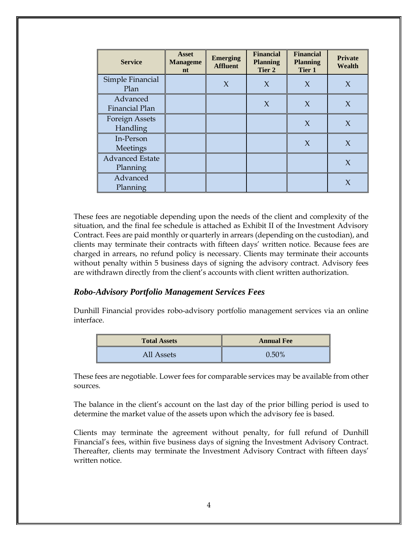| <b>Service</b>                     | <b>Asset</b><br><b>Manageme</b><br>n t | <b>Emerging</b><br><b>Affluent</b> | <b>Financial</b><br><b>Planning</b><br>Tier 2 | <b>Financial</b><br><b>Planning</b><br>Tier 1 | <b>Private</b><br><b>Wealth</b> |
|------------------------------------|----------------------------------------|------------------------------------|-----------------------------------------------|-----------------------------------------------|---------------------------------|
| Simple Financial<br>Plan           |                                        | $\chi$                             | $\chi$                                        | $\chi$                                        | $\chi$                          |
| Advanced<br>Financial Plan         |                                        |                                    | $\chi$                                        | $\chi$                                        | $\chi$                          |
| <b>Foreign Assets</b><br>Handling  |                                        |                                    |                                               | $\chi$                                        | $\chi$                          |
| In-Person<br><b>Meetings</b>       |                                        |                                    |                                               | $\chi$                                        | $\chi$                          |
| <b>Advanced Estate</b><br>Planning |                                        |                                    |                                               |                                               | X                               |
| Advanced<br>Planning               |                                        |                                    |                                               |                                               | X                               |

These fees are negotiable depending upon the needs of the client and complexity of the situation, and the final fee schedule is attached as Exhibit II of the Investment Advisory Contract. Fees are paid monthly or quarterly in arrears (depending on the custodian), and clients may terminate their contracts with fifteen days' written notice. Because fees are charged in arrears, no refund policy is necessary. Clients may terminate their accounts without penalty within 5 business days of signing the advisory contract. Advisory fees are withdrawn directly from the client's accounts with client written authorization.

#### *Robo-Advisory Portfolio Management Services Fees*

Dunhill Financial provides robo-advisory portfolio management services via an online interface.

| <b>Total Assets</b> | <b>Annual Fee</b> |
|---------------------|-------------------|
| All Assets          | $0.50\%$          |

These fees are negotiable. Lower fees for comparable services may be available from other sources.

The balance in the client's account on the last day of the prior billing period is used to determine the market value of the assets upon which the advisory fee is based.

Clients may terminate the agreement without penalty, for full refund of Dunhill Financial's fees, within five business days of signing the Investment Advisory Contract. Thereafter, clients may terminate the Investment Advisory Contract with fifteen days' written notice.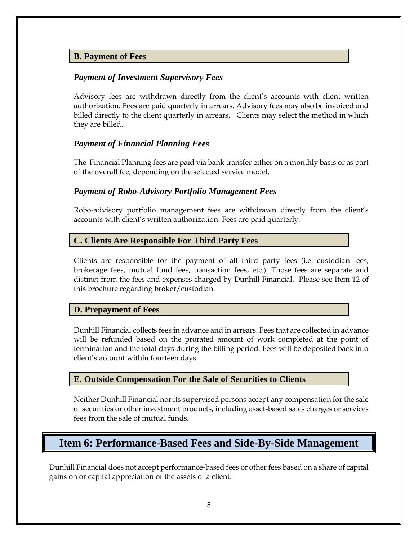#### <span id="page-9-0"></span>**B. Payment of Fees**

#### <span id="page-9-1"></span>*Payment of Investment Supervisory Fees*

Advisory fees are withdrawn directly from the client's accounts with client written authorization. Fees are paid quarterly in arrears. Advisory fees may also be invoiced and billed directly to the client quarterly in arrears. Clients may select the method in which they are billed.

#### <span id="page-9-2"></span>*Payment of Financial Planning Fees*

The Financial Planning fees are paid via bank transfer either on a monthly basis or as part of the overall fee, depending on the selected service model.

#### *Payment of Robo-Advisory Portfolio Management Fees*

Robo-advisory portfolio management fees are withdrawn directly from the client's accounts with client's written authorization. Fees are paid quarterly.

#### <span id="page-9-3"></span>**C. Clients Are Responsible For Third Party Fees**

Clients are responsible for the payment of all third party fees (i.e. custodian fees, brokerage fees, mutual fund fees, transaction fees, etc.). Those fees are separate and distinct from the fees and expenses charged by Dunhill Financial. Please see Item 12 of this brochure regarding broker/custodian.

#### <span id="page-9-4"></span>**D. Prepayment of Fees**

Dunhill Financial collects fees in advance and in arrears. Fees that are collected in advance will be refunded based on the prorated amount of work completed at the point of termination and the total days during the billing period. Fees will be deposited back into client's account within fourteen days.

#### <span id="page-9-5"></span>**E. Outside Compensation For the Sale of Securities to Clients**

Neither Dunhill Financial nor its supervised persons accept any compensation for the sale of securities or other investment products, including asset-based sales charges or services fees from the sale of mutual funds.

### <span id="page-9-6"></span>**Item 6: Performance-Based Fees and Side-By-Side Management**

Dunhill Financial does not accept performance-based fees or other fees based on a share of capital gains on or capital appreciation of the assets of a client.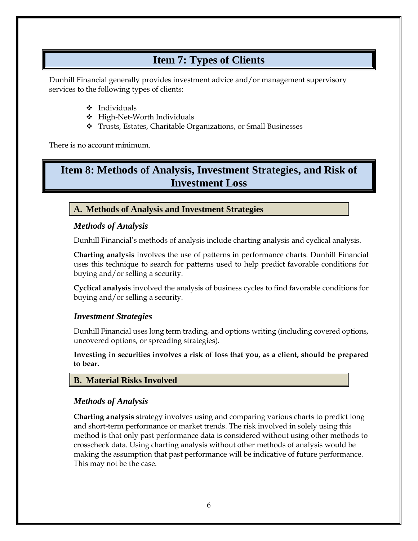### **Item 7: Types of Clients**

<span id="page-10-0"></span>Dunhill Financial generally provides investment advice and/or management supervisory services to the following types of clients:

- ❖ Individuals
- ❖ High-Net-Worth Individuals
- ❖ Trusts, Estates, Charitable Organizations, or Small Businesses

There is no account minimum.

### <span id="page-10-1"></span>**Item 8: Methods of Analysis, Investment Strategies, and Risk of Investment Loss**

#### <span id="page-10-2"></span>**A. Methods of Analysis and Investment Strategies**

#### <span id="page-10-3"></span>*Methods of Analysis*

Dunhill Financial's methods of analysis include charting analysis and cyclical analysis.

<span id="page-10-4"></span>**Charting analysis** involves the use of patterns in performance charts. Dunhill Financial uses this technique to search for patterns used to help predict favorable conditions for buying and/or selling a security.

<span id="page-10-5"></span>**Cyclical analysis** involved the analysis of business cycles to find favorable conditions for buying and/or selling a security.

#### <span id="page-10-6"></span>*Investment Strategies*

Dunhill Financial uses long term trading, and options writing (including covered options, uncovered options, or spreading strategies).

**Investing in securities involves a risk of loss that you, as a client, should be prepared to bear.**

#### <span id="page-10-7"></span>**B. Material Risks Involved**

#### <span id="page-10-8"></span>*Methods of Analysis*

**Charting analysis** strategy involves using and comparing various charts to predict long and short-term performance or market trends. The risk involved in solely using this method is that only past performance data is considered without using other methods to crosscheck data. Using charting analysis without other methods of analysis would be making the assumption that past performance will be indicative of future performance. This may not be the case.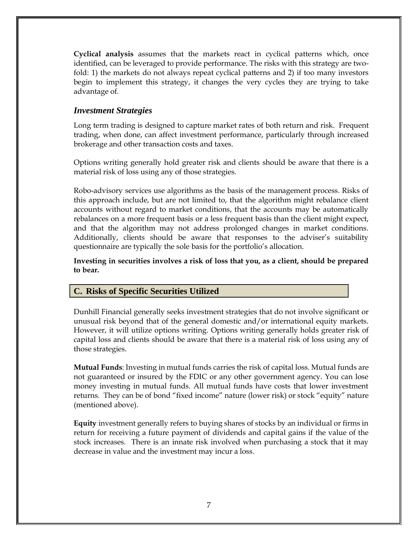<span id="page-11-0"></span>**Cyclical analysis** assumes that the markets react in cyclical patterns which, once identified, can be leveraged to provide performance. The risks with this strategy are twofold: 1) the markets do not always repeat cyclical patterns and 2) if too many investors begin to implement this strategy, it changes the very cycles they are trying to take advantage of.

#### <span id="page-11-1"></span>*Investment Strategies*

Long term trading is designed to capture market rates of both return and risk. Frequent trading, when done, can affect investment performance, particularly through increased brokerage and other transaction costs and taxes.

Options writing generally hold greater risk and clients should be aware that there is a material risk of loss using any of those strategies.

Robo-advisory services use algorithms as the basis of the management process. Risks of this approach include, but are not limited to, that the algorithm might rebalance client accounts without regard to market conditions, that the accounts may be automatically rebalances on a more frequent basis or a less frequent basis than the client might expect, and that the algorithm may not address prolonged changes in market conditions. Additionally, clients should be aware that responses to the adviser's suitability questionnaire are typically the sole basis for the portfolio's allocation.

**Investing in securities involves a risk of loss that you, as a client, should be prepared to bear.**

#### <span id="page-11-2"></span>**C. Risks of Specific Securities Utilized**

Dunhill Financial generally seeks investment strategies that do not involve significant or unusual risk beyond that of the general domestic and/or international equity markets. However, it will utilize options writing. Options writing generally holds greater risk of capital loss and clients should be aware that there is a material risk of loss using any of those strategies.

**Mutual Funds**: Investing in mutual funds carries the risk of capital loss. Mutual funds are not guaranteed or insured by the FDIC or any other government agency. You can lose money investing in mutual funds. All mutual funds have costs that lower investment returns. They can be of bond "fixed income" nature (lower risk) or stock "equity" nature (mentioned above).

**Equity** investment generally refers to buying shares of stocks by an individual or firms in return for receiving a future payment of dividends and capital gains if the value of the stock increases. There is an innate risk involved when purchasing a stock that it may decrease in value and the investment may incur a loss.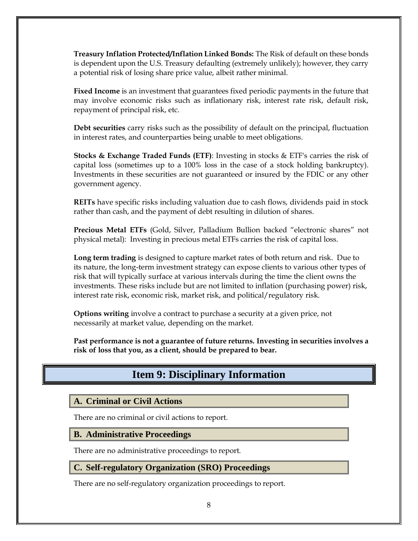**Treasury Inflation Protected/Inflation Linked Bonds:** The Risk of default on these bonds is dependent upon the U.S. Treasury defaulting (extremely unlikely); however, they carry a potential risk of losing share price value, albeit rather minimal.

**Fixed Income** is an investment that guarantees fixed periodic payments in the future that may involve economic risks such as inflationary risk, interest rate risk, default risk, repayment of principal risk, etc.

**Debt securities** carry risks such as the possibility of default on the principal, fluctuation in interest rates, and counterparties being unable to meet obligations.

**Stocks & Exchange Traded Funds (ETF)**: Investing in stocks & ETF's carries the risk of capital loss (sometimes up to a 100% loss in the case of a stock holding bankruptcy). Investments in these securities are not guaranteed or insured by the FDIC or any other government agency.

**REITs** have specific risks including valuation due to cash flows, dividends paid in stock rather than cash, and the payment of debt resulting in dilution of shares.

**Precious Metal ETFs** (Gold, Silver, Palladium Bullion backed "electronic shares" not physical metal):Investing in precious metal ETFs carries the risk of capital loss.

**Long term trading** is designed to capture market rates of both return and risk. Due to its nature, the long-term investment strategy can expose clients to various other types of risk that will typically surface at various intervals during the time the client owns the investments. These risks include but are not limited to inflation (purchasing power) risk, interest rate risk, economic risk, market risk, and political/regulatory risk.

**Options writing** involve a contract to purchase a security at a given price, not necessarily at market value, depending on the market.

<span id="page-12-0"></span>**Past performance is not a guarantee of future returns. Investing in securities involves a risk of loss that you, as a client, should be prepared to bear.**

## **Item 9: Disciplinary Information**

#### <span id="page-12-1"></span>**A. Criminal or Civil Actions**

There are no criminal or civil actions to report.

#### <span id="page-12-2"></span>**B. Administrative Proceedings**

There are no administrative proceedings to report.

#### <span id="page-12-3"></span>**C. Self-regulatory Organization (SRO) Proceedings**

There are no self-regulatory organization proceedings to report.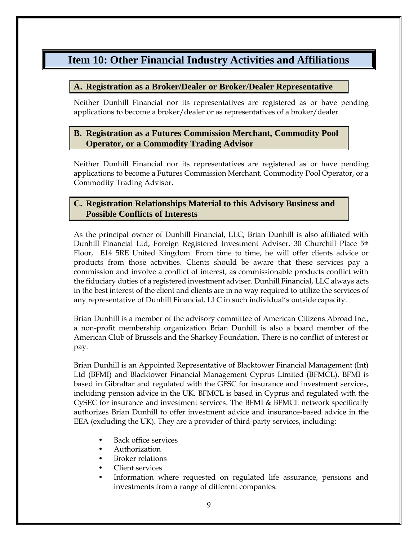### <span id="page-13-0"></span>**Item 10: Other Financial Industry Activities and Affiliations**

#### <span id="page-13-1"></span>**A. Registration as a Broker/Dealer or Broker/Dealer Representative**

Neither Dunhill Financial nor its representatives are registered as or have pending applications to become a broker/dealer or as representatives of a broker/dealer.

#### <span id="page-13-2"></span>**B. Registration as a Futures Commission Merchant, Commodity Pool Operator, or a Commodity Trading Advisor**

Neither Dunhill Financial nor its representatives are registered as or have pending applications to become a Futures Commission Merchant, Commodity Pool Operator, or a Commodity Trading Advisor.

#### <span id="page-13-3"></span>**C. Registration Relationships Material to this Advisory Business and Possible Conflicts of Interests**

As the principal owner of Dunhill Financial, LLC, Brian Dunhill is also affiliated with Dunhill Financial Ltd, Foreign Registered Investment Adviser, 30 Churchill Place 5<sup>th</sup> Floor, E14 5RE United Kingdom. From time to time, he will offer clients advice or products from those activities. Clients should be aware that these services pay a commission and involve a conflict of interest, as commissionable products conflict with the fiduciary duties of a registered investment adviser. Dunhill Financial, LLC always acts in the best interest of the client and clients are in no way required to utilize the services of any representative of Dunhill Financial, LLC in such individual's outside capacity.

Brian Dunhill is a member of the advisory committee of American Citizens Abroad Inc., a non-profit membership organization. Brian Dunhill is also a board member of the American Club of Brussels and the Sharkey Foundation. There is no conflict of interest or pay.

Brian Dunhill is an Appointed Representative of Blacktower Financial Management (Int) Ltd (BFMI) and Blacktower Financial Management Cyprus Limited (BFMCL). BFMI is based in Gibraltar and regulated with the GFSC for insurance and investment services, including pension advice in the UK. BFMCL is based in Cyprus and regulated with the CySEC for insurance and investment services. The BFMI & BFMCL network specifically authorizes Brian Dunhill to offer investment advice and insurance-based advice in the EEA (excluding the UK). They are a provider of third-party services, including:

- Back office services
- Authorization
- Broker relations
- Client services
- Information where requested on regulated life assurance, pensions and investments from a range of different companies.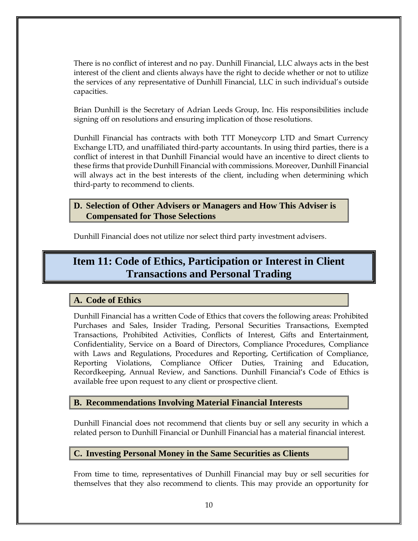There is no conflict of interest and no pay. Dunhill Financial, LLC always acts in the best interest of the client and clients always have the right to decide whether or not to utilize the services of any representative of Dunhill Financial, LLC in such individual's outside capacities.

Brian Dunhill is the Secretary of Adrian Leeds Group, Inc. His responsibilities include signing off on resolutions and ensuring implication of those resolutions.

Dunhill Financial has contracts with both TTT Moneycorp LTD and Smart Currency Exchange LTD, and unaffiliated third-party accountants. In using third parties, there is a conflict of interest in that Dunhill Financial would have an incentive to direct clients to these firms that provide Dunhill Financial with commissions. Moreover, Dunhill Financial will always act in the best interests of the client, including when determining which third-party to recommend to clients.

#### <span id="page-14-0"></span>**D. Selection of Other Advisers or Managers and How This Adviser is Compensated for Those Selections**

Dunhill Financial does not utilize nor select third party investment advisers.

### <span id="page-14-1"></span>**Item 11: Code of Ethics, Participation or Interest in Client Transactions and Personal Trading**

#### <span id="page-14-2"></span>**A. Code of Ethics**

Dunhill Financial has a written Code of Ethics that covers the following areas: Prohibited Purchases and Sales, Insider Trading, Personal Securities Transactions, Exempted Transactions, Prohibited Activities, Conflicts of Interest, Gifts and Entertainment, Confidentiality, Service on a Board of Directors, Compliance Procedures, Compliance with Laws and Regulations, Procedures and Reporting, Certification of Compliance, Reporting Violations, Compliance Officer Duties, Training and Education, Recordkeeping, Annual Review, and Sanctions. Dunhill Financial's Code of Ethics is available free upon request to any client or prospective client.

#### <span id="page-14-3"></span>**B. Recommendations Involving Material Financial Interests**

Dunhill Financial does not recommend that clients buy or sell any security in which a related person to Dunhill Financial or Dunhill Financial has a material financial interest.

#### <span id="page-14-4"></span>**C. Investing Personal Money in the Same Securities as Clients**

From time to time, representatives of Dunhill Financial may buy or sell securities for themselves that they also recommend to clients. This may provide an opportunity for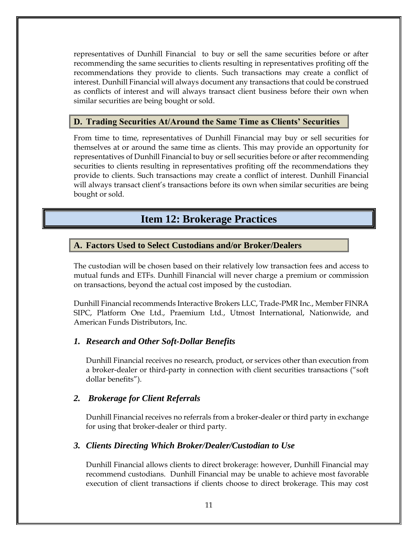representatives of Dunhill Financial to buy or sell the same securities before or after recommending the same securities to clients resulting in representatives profiting off the recommendations they provide to clients. Such transactions may create a conflict of interest. Dunhill Financial will always document any transactions that could be construed as conflicts of interest and will always transact client business before their own when similar securities are being bought or sold.

#### <span id="page-15-0"></span>**D. Trading Securities At/Around the Same Time as Clients' Securities**

From time to time, representatives of Dunhill Financial may buy or sell securities for themselves at or around the same time as clients. This may provide an opportunity for representatives of Dunhill Financial to buy or sell securities before or after recommending securities to clients resulting in representatives profiting off the recommendations they provide to clients. Such transactions may create a conflict of interest. Dunhill Financial will always transact client's transactions before its own when similar securities are being bought or sold.

### **Item 12: Brokerage Practices**

#### <span id="page-15-2"></span><span id="page-15-1"></span>**A. Factors Used to Select Custodians and/or Broker/Dealers**

The custodian will be chosen based on their relatively low transaction fees and access to mutual funds and ETFs. Dunhill Financial will never charge a premium or commission on transactions, beyond the actual cost imposed by the custodian.

Dunhill Financial recommends Interactive Brokers LLC, Trade-PMR Inc., Member FINRA SIPC, Platform One Ltd., Praemium Ltd., Utmost International, Nationwide, and American Funds Distributors, Inc.

#### <span id="page-15-3"></span>*1. Research and Other Soft-Dollar Benefits*

Dunhill Financial receives no research, product, or services other than execution from a broker-dealer or third-party in connection with client securities transactions ("soft dollar benefits").

#### <span id="page-15-4"></span>*2. Brokerage for Client Referrals*

Dunhill Financial receives no referrals from a broker-dealer or third party in exchange for using that broker-dealer or third party.

#### <span id="page-15-5"></span>*3. Clients Directing Which Broker/Dealer/Custodian to Use*

Dunhill Financial allows clients to direct brokerage: however, Dunhill Financial may recommend custodians. Dunhill Financial may be unable to achieve most favorable execution of client transactions if clients choose to direct brokerage. This may cost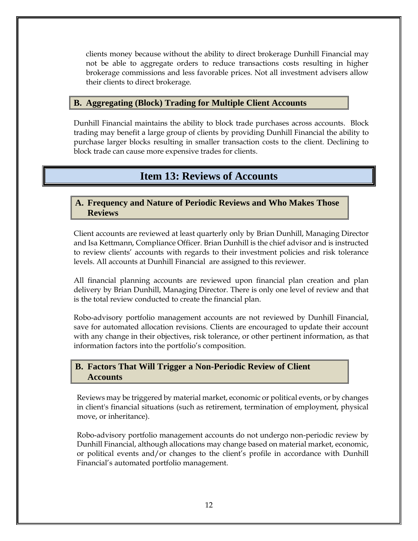clients money because without the ability to direct brokerage Dunhill Financial may not be able to aggregate orders to reduce transactions costs resulting in higher brokerage commissions and less favorable prices. Not all investment advisers allow their clients to direct brokerage.

#### <span id="page-16-0"></span>**B. Aggregating (Block) Trading for Multiple Client Accounts**

Dunhill Financial maintains the ability to block trade purchases across accounts. Block trading may benefit a large group of clients by providing Dunhill Financial the ability to purchase larger blocks resulting in smaller transaction costs to the client. Declining to block trade can cause more expensive trades for clients.

### **Item 13: Reviews of Accounts**

#### <span id="page-16-2"></span><span id="page-16-1"></span>**A. Frequency and Nature of Periodic Reviews and Who Makes Those Reviews**

Client accounts are reviewed at least quarterly only by Brian Dunhill, Managing Director and Isa Kettmann, Compliance Officer. Brian Dunhill is the chief advisor and is instructed to review clients' accounts with regards to their investment policies and risk tolerance levels. All accounts at Dunhill Financial are assigned to this reviewer.

All financial planning accounts are reviewed upon financial plan creation and plan delivery by Brian Dunhill, Managing Director. There is only one level of review and that is the total review conducted to create the financial plan.

Robo-advisory portfolio management accounts are not reviewed by Dunhill Financial, save for automated allocation revisions. Clients are encouraged to update their account with any change in their objectives, risk tolerance, or other pertinent information, as that information factors into the portfolio's composition.

#### <span id="page-16-3"></span>**B. Factors That Will Trigger a Non-Periodic Review of Client Accounts**

Reviews may be triggered by material market, economic or political events, or by changes in client's financial situations (such as retirement, termination of employment, physical move, or inheritance).

Robo-advisory portfolio management accounts do not undergo non-periodic review by Dunhill Financial, although allocations may change based on material market, economic, or political events and/or changes to the client's profile in accordance with Dunhill Financial's automated portfolio management.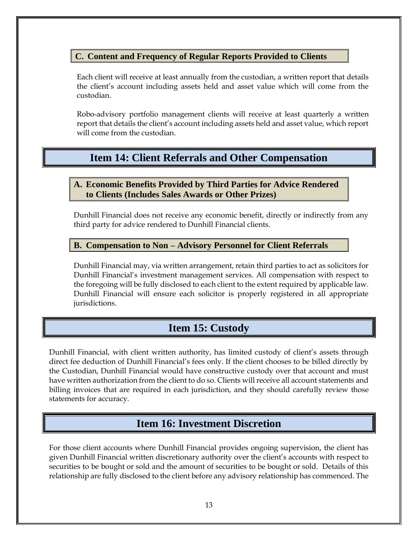#### <span id="page-17-0"></span>**C. Content and Frequency of Regular Reports Provided to Clients**

Each client will receive at least annually from the custodian, a written report that details the client's account including assets held and asset value which will come from the custodian.

Robo-advisory portfolio management clients will receive at least quarterly a written report that details the client's account including assets held and asset value, which report will come from the custodian.

### <span id="page-17-1"></span>**Item 14: Client Referrals and Other Compensation**

#### <span id="page-17-2"></span>**A. Economic Benefits Provided by Third Parties for Advice Rendered to Clients (Includes Sales Awards or Other Prizes)**

Dunhill Financial does not receive any economic benefit, directly or indirectly from any third party for advice rendered to Dunhill Financial clients.

#### <span id="page-17-3"></span>**B. Compensation to Non – Advisory Personnel for Client Referrals**

Dunhill Financial may, via written arrangement, retain third parties to act as solicitors for Dunhill Financial's investment management services. All compensation with respect to the foregoing will be fully disclosed to each client to the extent required by applicable law. Dunhill Financial will ensure each solicitor is properly registered in all appropriate jurisdictions.

### **Item 15: Custody**

<span id="page-17-4"></span>Dunhill Financial, with client written authority, has limited custody of client's assets through direct fee deduction of Dunhill Financial's fees only. If the client chooses to be billed directly by the Custodian, Dunhill Financial would have constructive custody over that account and must have written authorization from the client to do so. Clients will receive all account statements and billing invoices that are required in each jurisdiction, and they should carefully review those statements for accuracy.

### **Item 16: Investment Discretion**

<span id="page-17-5"></span>For those client accounts where Dunhill Financial provides ongoing supervision, the client has given Dunhill Financial written discretionary authority over the client's accounts with respect to securities to be bought or sold and the amount of securities to be bought or sold. Details of this relationship are fully disclosed to the client before any advisory relationship has commenced. The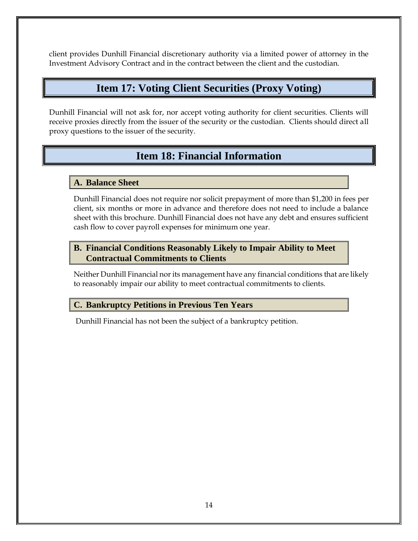<span id="page-18-0"></span>client provides Dunhill Financial discretionary authority via a limited power of attorney in the Investment Advisory Contract and in the contract between the client and the custodian.

### **Item 17: Voting Client Securities (Proxy Voting)**

<span id="page-18-1"></span>Dunhill Financial will not ask for, nor accept voting authority for client securities. Clients will receive proxies directly from the issuer of the security or the custodian. Clients should direct all proxy questions to the issuer of the security.

# **Item 18: Financial Information**

#### <span id="page-18-2"></span>**A. Balance Sheet**

Dunhill Financial does not require nor solicit prepayment of more than \$1,200 in fees per client, six months or more in advance and therefore does not need to include a balance sheet with this brochure. Dunhill Financial does not have any debt and ensures sufficient cash flow to cover payroll expenses for minimum one year.

#### <span id="page-18-3"></span>**B. Financial Conditions Reasonably Likely to Impair Ability to Meet Contractual Commitments to Clients**

Neither Dunhill Financial nor its management have any financial conditions that are likely to reasonably impair our ability to meet contractual commitments to clients.

#### <span id="page-18-4"></span>**C. Bankruptcy Petitions in Previous Ten Years**

Dunhill Financial has not been the subject of a bankruptcy petition.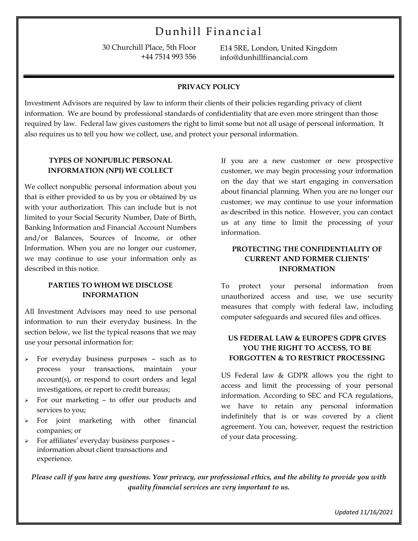# Dunhill Financial

30 Churchill Place, 5th Floor +44 7514 993 556 E14 5RE, London, United Kingdom info@dunhillfinancial.com

#### **PRIVACY POLICY**

Investment Advisors are required by law to inform their clients of their policies regarding privacy of client information. We are bound by professional standards of confidentiality that are even more stringent than those required by law. Federal law gives customers the right to limit some but not all usage of personal information. It also requires us to tell you how we collect, use, and protect your personal information.

#### **TYPES OF NONPUBLIC PERSONAL INFORMATION (NPI) WE COLLECT**

We collect nonpublic personal information about you that is either provided to us by you or obtained by us with your authorization. This can include but is not limited to your Social Security Number, Date of Birth, Banking Information and Financial Account Numbers and/or Balances, Sources of Income, or other Information. When you are no longer our customer, we may continue to use your information only as described in this notice.

#### **PARTIES TO WHOM WE DISCLOSE INFORMATION**

All Investment Advisors may need to use personal information to run their everyday business. In the section below, we list the typical reasons that we may use your personal information for:

- For everyday business purposes such as to process your transactions, maintain your account(s), or respond to court orders and legal investigations, or report to credit bureaus;
- For our marketing to offer our products and services to you;
- For joint marketing with other financial companies; or
- $\triangleright$  For affiliates' everyday business purposes information about client transactions and experience.

If you are a new customer or new prospective customer, we may begin processing your information on the day that we start engaging in conversation about financial planning. When you are no longer our customer, we may continue to use your information as described in this notice. However, you can contact us at any time to limit the processing of your information.

#### **PROTECTING THE CONFIDENTIALITY OF CURRENT AND FORMER CLIENTS' INFORMATION**

To protect your personal information from unauthorized access and use, we use security measures that comply with federal law, including computer safeguards and secured files and offices.

#### **US FEDERAL LAW & EUROPE'S GDPR GIVES YOU THE RIGHT TO ACCESS, TO BE FORGOTTEN & TO RESTRICT PROCESSING**

US Federal law & GDPR allows you the right to access and limit the processing of your personal information. According to SEC and FCA regulations, we have to retain any personal information indefinitely that is or was covered by a client agreement. You can, however, request the restriction of your data processing.

*Please call if you have any questions. Your privacy, our professional ethics, and the ability to provide you with quality financial services are very important to us.*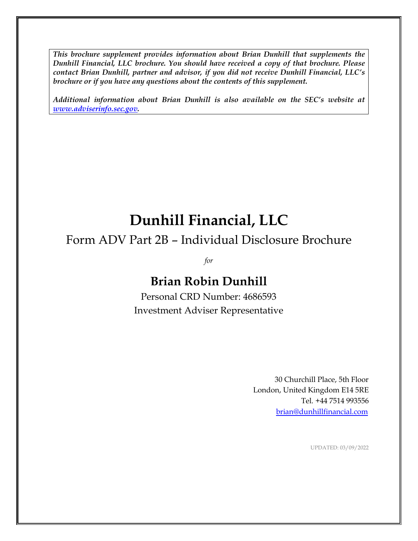*This brochure supplement provides information about Brian Dunhill that supplements the Dunhill Financial, LLC brochure. You should have received a copy of that brochure. Please contact Brian Dunhill, partner and advisor, if you did not receive Dunhill Financial, LLC's brochure or if you have any questions about the contents of this supplement.*

*Additional information about Brian Dunhill is also available on the SEC's website at [www.adviserinfo.sec.gov.](http://www.adviserinfo.sec.gov/)*

# **Dunhill Financial, LLC**

# Form ADV Part 2B – Individual Disclosure Brochure

*for*

# **Brian Robin Dunhill**

Personal CRD Number: 4686593 Investment Adviser Representative

> 30 Churchill Place, 5th Floor London, United Kingdom E14 5RE Tel. +44 7514 993556 [brian@dunhillfinancial.com](mailto:brian@dunhillfinancial.com)

> > UPDATED: 03/09/2022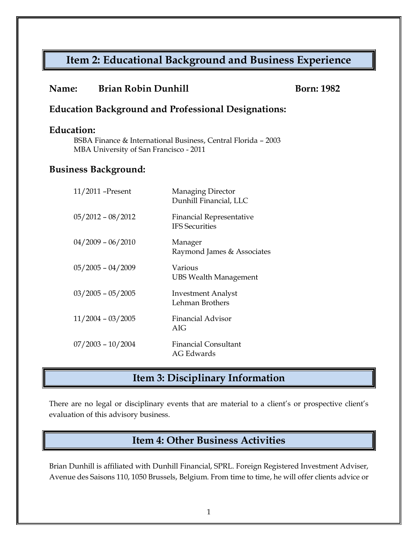## **Item 2: Educational Background and Business Experience**

**Name: Brian Robin Dunhill Born: 1982** 

| <b>Education:</b>           |                                                                                                         |  |  |  |  |  |  |
|-----------------------------|---------------------------------------------------------------------------------------------------------|--|--|--|--|--|--|
|                             | BSBA Finance & International Business, Central Florida - 2003<br>MBA University of San Francisco - 2011 |  |  |  |  |  |  |
| <b>Business Background:</b> |                                                                                                         |  |  |  |  |  |  |
| $11/2011$ -Present          | <b>Managing Director</b><br>Dunhill Financial, LLC                                                      |  |  |  |  |  |  |
| $05/2012 - 08/2012$         | <b>Financial Representative</b><br><b>IFS</b> Securities                                                |  |  |  |  |  |  |
| $04/2009 - 06/2010$         | Manager<br>Raymond James & Associates                                                                   |  |  |  |  |  |  |
| $05/2005 - 04/2009$         | Various<br><b>UBS Wealth Management</b>                                                                 |  |  |  |  |  |  |
| $03/2005 - 05/2005$         | <b>Investment Analyst</b><br>Lehman Brothers                                                            |  |  |  |  |  |  |
| $11/2004 - 03/2005$         | <b>Financial Advisor</b><br>AIG                                                                         |  |  |  |  |  |  |
| $07/2003 - 10/2004$         | <b>Financial Consultant</b><br>AG Edwards                                                               |  |  |  |  |  |  |
|                             |                                                                                                         |  |  |  |  |  |  |

**Education Background and Professional Designations:**

## **Item 3: Disciplinary Information**

There are no legal or disciplinary events that are material to a client's or prospective client's evaluation of this advisory business.

### **Item 4: Other Business Activities**

Brian Dunhill is affiliated with Dunhill Financial, SPRL. Foreign Registered Investment Adviser, Avenue des Saisons 110, 1050 Brussels, Belgium. From time to time, he will offer clients advice or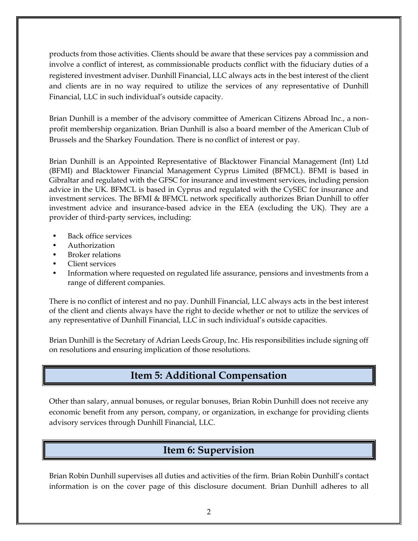products from those activities. Clients should be aware that these services pay a commission and involve a conflict of interest, as commissionable products conflict with the fiduciary duties of a registered investment adviser. Dunhill Financial, LLC always acts in the best interest of the client and clients are in no way required to utilize the services of any representative of Dunhill Financial, LLC in such individual's outside capacity.

Brian Dunhill is a member of the advisory committee of American Citizens Abroad Inc., a nonprofit membership organization. Brian Dunhill is also a board member of the American Club of Brussels and the Sharkey Foundation. There is no conflict of interest or pay.

Brian Dunhill is an Appointed Representative of Blacktower Financial Management (Int) Ltd (BFMI) and Blacktower Financial Management Cyprus Limited (BFMCL). BFMI is based in Gibraltar and regulated with the GFSC for insurance and investment services, including pension advice in the UK. BFMCL is based in Cyprus and regulated with the CySEC for insurance and investment services. The BFMI & BFMCL network specifically authorizes Brian Dunhill to offer investment advice and insurance-based advice in the EEA (excluding the UK). They are a provider of third-party services, including:

- Back office services
- Authorization
- Broker relations
- Client services
- Information where requested on regulated life assurance, pensions and investments from a range of different companies.

There is no conflict of interest and no pay. Dunhill Financial, LLC always acts in the best interest of the client and clients always have the right to decide whether or not to utilize the services of any representative of Dunhill Financial, LLC in such individual's outside capacities.

Brian Dunhill is the Secretary of Adrian Leeds Group, Inc. His responsibilities include signing off on resolutions and ensuring implication of those resolutions.

# **Item 5: Additional Compensation**

Other than salary, annual bonuses, or regular bonuses, Brian Robin Dunhill does not receive any economic benefit from any person, company, or organization, in exchange for providing clients advisory services through Dunhill Financial, LLC.

# **Item 6: Supervision**

Brian Robin Dunhill supervises all duties and activities of the firm. Brian Robin Dunhill's contact information is on the cover page of this disclosure document. Brian Dunhill adheres to all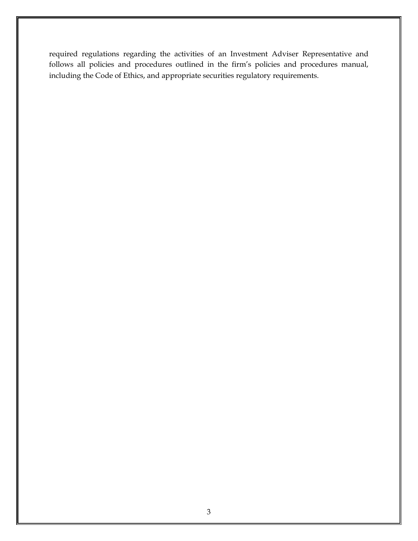required regulations regarding the activities of an Investment Adviser Representative and follows all policies and procedures outlined in the firm's policies and procedures manual, including the Code of Ethics, and appropriate securities regulatory requirements.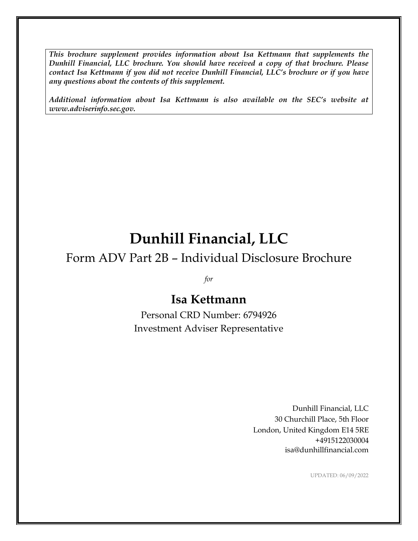*This brochure supplement provides information about Isa Kettmann that supplements the Dunhill Financial, LLC brochure. You should have received a copy of that brochure. Please contact Isa Kettmann if you did not receive Dunhill Financial, LLC's brochure or if you have any questions about the contents of this supplement.*

*Additional information about Isa Kettmann is also available on the SEC's website at www.adviserinfo.sec.gov.*

# **Dunhill Financial, LLC**

## Form ADV Part 2B – Individual Disclosure Brochure

*for*

## **Isa Kettmann**

Personal CRD Number: 6794926 Investment Adviser Representative

> Dunhill Financial, LLC 30 Churchill Place, 5th Floor London, United Kingdom E14 5RE +4915122030004 isa@dunhillfinancial.com

> > UPDATED: 06/09/2022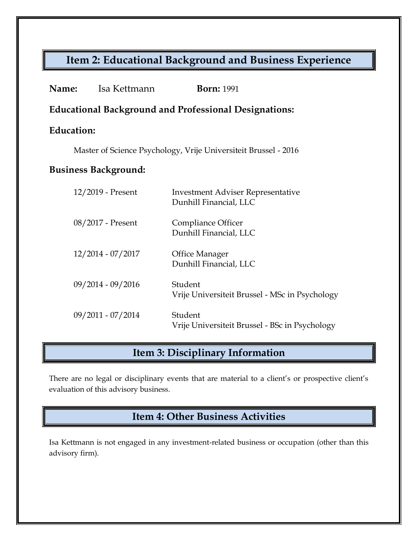# **Item 2: Educational Background and Business Experience**

| <b>Name:</b><br>Isa Kettmann | <b>Born: 1991</b>                                                  |  |  |  |  |
|------------------------------|--------------------------------------------------------------------|--|--|--|--|
|                              | <b>Educational Background and Professional Designations:</b>       |  |  |  |  |
| <b>Education:</b>            |                                                                    |  |  |  |  |
|                              | Master of Science Psychology, Vrije Universiteit Brussel - 2016    |  |  |  |  |
| <b>Business Background:</b>  |                                                                    |  |  |  |  |
| 12/2019 - Present            | <b>Investment Adviser Representative</b><br>Dunhill Financial, LLC |  |  |  |  |
| 08/2017 - Present            | Compliance Officer<br>Dunhill Financial, LLC                       |  |  |  |  |
| 12/2014 - 07/2017            | <b>Office Manager</b><br>Dunhill Financial, LLC                    |  |  |  |  |
| 09/2014 - 09/2016            | Student<br>Vrije Universiteit Brussel - MSc in Psychology          |  |  |  |  |
| 09/2011 - 07/2014            | Student<br>Vrije Universiteit Brussel - BSc in Psychology          |  |  |  |  |

# **Item 3: Disciplinary Information**

There are no legal or disciplinary events that are material to a client's or prospective client's evaluation of this advisory business.

**Item 4: Other Business Activities**

Isa Kettmann is not engaged in any investment-related business or occupation (other than this advisory firm).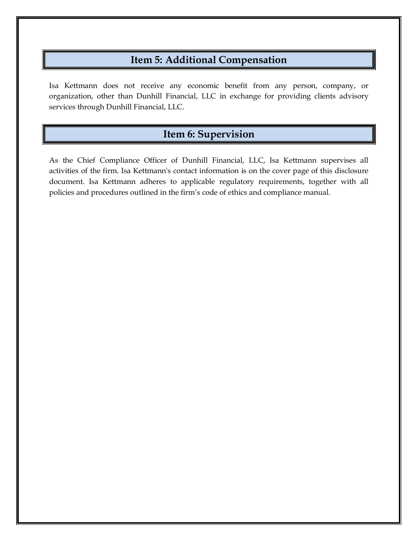### **Item 5: Additional Compensation**

Isa Kettmann does not receive any economic benefit from any person, company, or organization, other than Dunhill Financial, LLC in exchange for providing clients advisory services through Dunhill Financial, LLC.

### **Item 6: Supervision**

As the Chief Compliance Officer of Dunhill Financial, LLC, Isa Kettmann supervises all activities of the firm. Isa Kettmann's contact information is on the cover page of this disclosure document. Isa Kettmann adheres to applicable regulatory requirements, together with all policies and procedures outlined in the firm's code of ethics and compliance manual.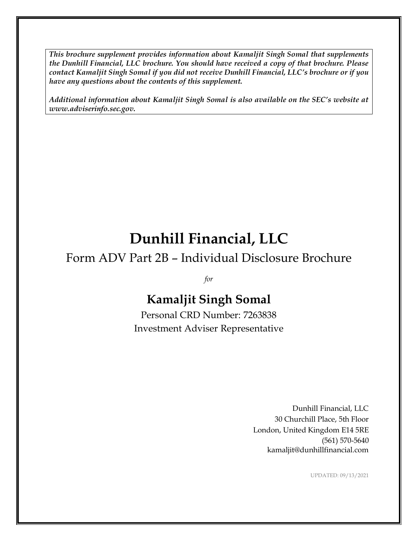*This brochure supplement provides information about Kamaljit Singh Somal that supplements the Dunhill Financial, LLC brochure. You should have received a copy of that brochure. Please contact Kamaljit Singh Somal if you did not receive Dunhill Financial, LLC's brochure or if you have any questions about the contents of this supplement.*

*Additional information about Kamaljit Singh Somal is also available on the SEC's website at www.adviserinfo.sec.gov.*

# **Dunhill Financial, LLC**

# Form ADV Part 2B – Individual Disclosure Brochure

*for*

# **Kamaljit Singh Somal**

Personal CRD Number: 7263838 Investment Adviser Representative

> Dunhill Financial, LLC 30 Churchill Place, 5th Floor London, United Kingdom E14 5RE (561) 570-5640 kamaljit@dunhillfinancial.com

> > UPDATED: 09/13/2021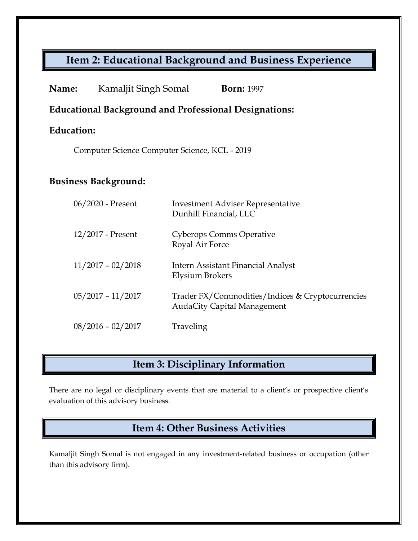# **Item 2: Educational Background and Business Experience**

| Name:                       | Kamaljit Singh Somal                                         |                                                    | <b>Born: 1997</b>                                                                      |  |  |
|-----------------------------|--------------------------------------------------------------|----------------------------------------------------|----------------------------------------------------------------------------------------|--|--|
|                             | <b>Educational Background and Professional Designations:</b> |                                                    |                                                                                        |  |  |
| <b>Education:</b>           |                                                              |                                                    |                                                                                        |  |  |
|                             | Computer Science Computer Science, KCL - 2019                |                                                    |                                                                                        |  |  |
| <b>Business Background:</b> |                                                              |                                                    |                                                                                        |  |  |
|                             | 06/2020 - Present                                            | Dunhill Financial, LLC                             | <b>Investment Adviser Representative</b>                                               |  |  |
|                             | 12/2017 - Present                                            | <b>Cyberops Comms Operative</b><br>Royal Air Force |                                                                                        |  |  |
|                             | $11/2017 - 02/2018$                                          | Elysium Brokers                                    | Intern Assistant Financial Analyst                                                     |  |  |
|                             | $05/2017 - 11/2017$                                          |                                                    | Trader FX/Commodities/Indices & Cryptocurrencies<br><b>AudaCity Capital Management</b> |  |  |
|                             | $08/2016 - 02/2017$                                          | Traveling                                          |                                                                                        |  |  |

# **Item 3: Disciplinary Information**

There are no legal or disciplinary events that are material to a client's or prospective client's evaluation of this advisory business.

## **Item 4: Other Business Activities**

Kamaljit Singh Somal is not engaged in any investment-related business or occupation (other than this advisory firm).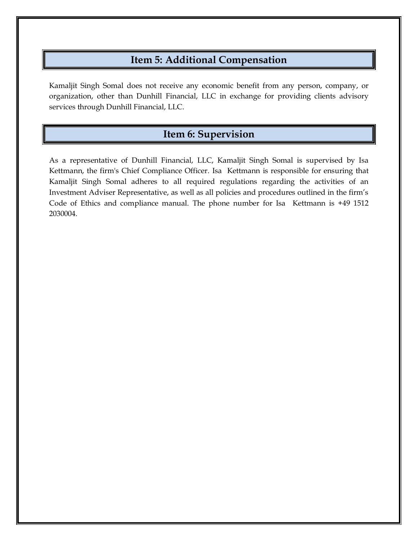### **Item 5: Additional Compensation**

Kamaljit Singh Somal does not receive any economic benefit from any person, company, or organization, other than Dunhill Financial, LLC in exchange for providing clients advisory services through Dunhill Financial, LLC.

### **Item 6: Supervision**

As a representative of Dunhill Financial, LLC, Kamaljit Singh Somal is supervised by Isa Kettmann, the firm's Chief Compliance Officer. Isa Kettmann is responsible for ensuring that Kamaljit Singh Somal adheres to all required regulations regarding the activities of an Investment Adviser Representative, as well as all policies and procedures outlined in the firm's Code of Ethics and compliance manual. The phone number for Isa Kettmann is +49 1512 2030004.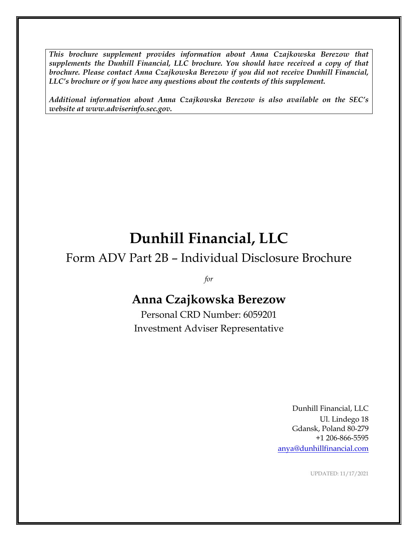*This brochure supplement provides information about Anna Czajkowska Berezow that supplements the Dunhill Financial, LLC brochure. You should have received a copy of that brochure. Please contact Anna Czajkowska Berezow if you did not receive Dunhill Financial, LLC's brochure or if you have any questions about the contents of this supplement.*

*Additional information about Anna Czajkowska Berezow is also available on the SEC's website at www.adviserinfo.sec.gov.*

# **Dunhill Financial, LLC**

# Form ADV Part 2B – Individual Disclosure Brochure

*for*

# **Anna Czajkowska Berezow**

Personal CRD Number: 6059201 Investment Adviser Representative

> Dunhill Financial, LLC Ul. Lindego 18 Gdansk, Poland 80-279 +1 206-866-5595 [anya@dunhillfinancial.com](mailto:anya@dunhillfinancial.com)

> > UPDATED: 11/17/2021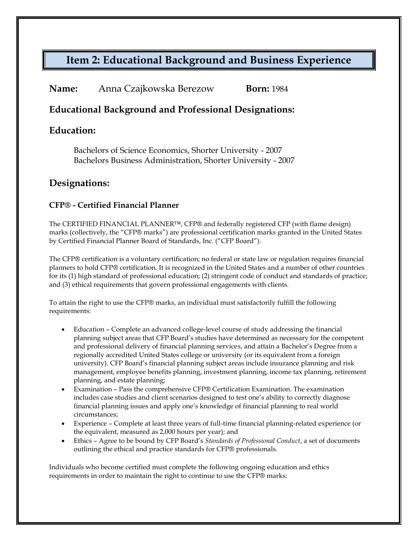### **Item 2: Educational Background and Business Experience**

| Name:<br>Anna Czajkowska Berezow | <b>Born:</b> 1984 |
|----------------------------------|-------------------|
|----------------------------------|-------------------|

#### **Educational Background and Professional Designations:**

#### **Education:**

Bachelors of Science Economics, Shorter University - 2007 Bachelors Business Administration, Shorter University - 2007

#### **Designations:**

#### **CFP® - Certified Financial Planner**

The CERTIFIED FINANCIAL PLANNER™, CFP® and federally registered CFP (with flame design) marks (collectively, the "CFP® marks") are professional certification marks granted in the United States by Certified Financial Planner Board of Standards, Inc. ("CFP Board").

The CFP® certification is a voluntary certification; no federal or state law or regulation requires financial planners to hold CFP® certification. It is recognized in the United States and a number of other countries for its (1) high standard of professional education; (2) stringent code of conduct and standards of practice; and (3) ethical requirements that govern professional engagements with clients.

To attain the right to use the CFP® marks, an individual must satisfactorily fulfill the following requirements:

- Education Complete an advanced college-level course of study addressing the financial planning subject areas that CFP Board's studies have determined as necessary for the competent and professional delivery of financial planning services, and attain a Bachelor's Degree from a regionally accredited United States college or university (or its equivalent from a foreign university). CFP Board's financial planning subject areas include insurance planning and risk management, employee benefits planning, investment planning, income tax planning, retirement planning, and estate planning;
- Examination Pass the comprehensive CFP® Certification Examination. The examination includes case studies and client scenarios designed to test one's ability to correctly diagnose financial planning issues and apply one's knowledge of financial planning to real world circumstances;
- Experience Complete at least three years of full-time financial planning-related experience (or the equivalent, measured as 2,000 hours per year); and
- Ethics Agree to be bound by CFP Board's *Standards of Professional Conduct*, a set of documents outlining the ethical and practice standards for CFP® professionals.

Individuals who become certified must complete the following ongoing education and ethics requirements in order to maintain the right to continue to use the CFP® marks: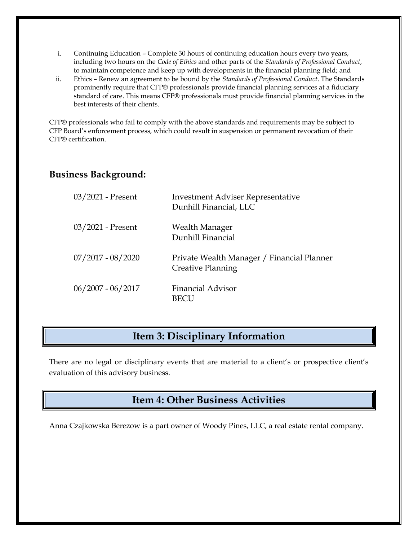- i. Continuing Education Complete 30 hours of continuing education hours every two years, including two hours on the *Code of Ethics* and other parts of the *Standards of Professional Conduct*, to maintain competence and keep up with developments in the financial planning field; and
- ii. Ethics Renew an agreement to be bound by the *Standards of Professional Conduct*. The Standards prominently require that CFP® professionals provide financial planning services at a fiduciary standard of care. This means CFP® professionals must provide financial planning services in the best interests of their clients.

CFP® professionals who fail to comply with the above standards and requirements may be subject to CFP Board's enforcement process, which could result in suspension or permanent revocation of their CFP® certification.

#### **Business Background:**

| $03/2021$ - Present | <b>Investment Adviser Representative</b><br>Dunhill Financial, LLC     |
|---------------------|------------------------------------------------------------------------|
| 03/2021 - Present   | Wealth Manager<br>Dunhill Financial                                    |
| $07/2017 - 08/2020$ | Private Wealth Manager / Financial Planner<br><b>Creative Planning</b> |
| $06/2007 - 06/2017$ | <b>Financial Advisor</b>                                               |

### **Item 3: Disciplinary Information**

There are no legal or disciplinary events that are material to a client's or prospective client's evaluation of this advisory business.

### **Item 4: Other Business Activities**

Anna Czajkowska Berezow is a part owner of Woody Pines, LLC, a real estate rental company.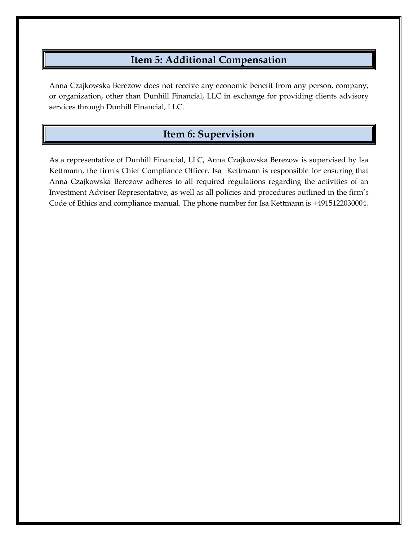# **Item 5: Additional Compensation**

Anna Czajkowska Berezow does not receive any economic benefit from any person, company, or organization, other than Dunhill Financial, LLC in exchange for providing clients advisory services through Dunhill Financial, LLC.

### **Item 6: Supervision**

As a representative of Dunhill Financial, LLC, Anna Czajkowska Berezow is supervised by Isa Kettmann, the firm's Chief Compliance Officer. Isa Kettmann is responsible for ensuring that Anna Czajkowska Berezow adheres to all required regulations regarding the activities of an Investment Adviser Representative, as well as all policies and procedures outlined in the firm's Code of Ethics and compliance manual. The phone number for Isa Kettmann is +4915122030004.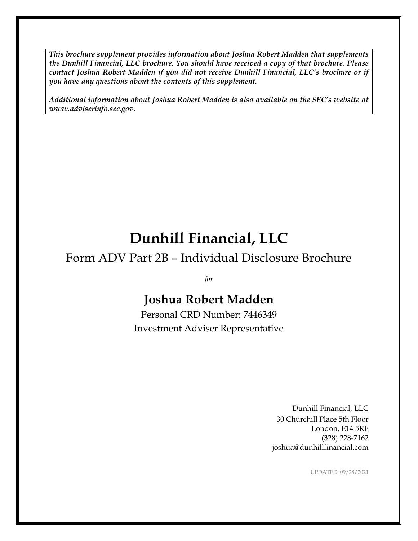*This brochure supplement provides information about Joshua Robert Madden that supplements the Dunhill Financial, LLC brochure. You should have received a copy of that brochure. Please contact Joshua Robert Madden if you did not receive Dunhill Financial, LLC's brochure or if you have any questions about the contents of this supplement.*

*Additional information about Joshua Robert Madden is also available on the SEC's website at www.adviserinfo.sec.gov.*

# **Dunhill Financial, LLC**

# Form ADV Part 2B – Individual Disclosure Brochure

*for*

# **Joshua Robert Madden**

Personal CRD Number: 7446349 Investment Adviser Representative

> Dunhill Financial, LLC 30 Churchill Place 5th Floor London, E14 5RE (328) 228-7162 joshua@dunhillfinancial.com

> > UPDATED: 09/28/2021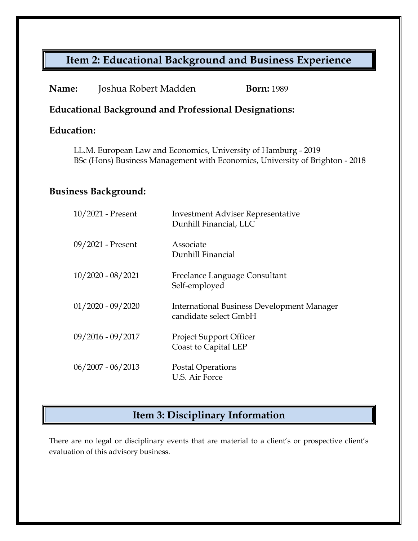# **Item 2: Educational Background and Business Experience**

| Name: | Joshua Robert Madden | <b>Born:</b> 1989 |
|-------|----------------------|-------------------|
|-------|----------------------|-------------------|

#### **Educational Background and Professional Designations:**

### **Education:**

LL.M. European Law and Economics, University of Hamburg - 2019 BSc (Hons) Business Management with Economics, University of Brighton - 2018

#### **Business Background:**

| 10/2021 - Present   | <b>Investment Adviser Representative</b><br>Dunhill Financial, LLC         |
|---------------------|----------------------------------------------------------------------------|
| 09/2021 - Present   | Associate<br>Dunhill Financial                                             |
| $10/2020 - 08/2021$ | Freelance Language Consultant<br>Self-employed                             |
| $01/2020 - 09/2020$ | <b>International Business Development Manager</b><br>candidate select GmbH |
| $09/2016 - 09/2017$ | <b>Project Support Officer</b><br>Coast to Capital LEP                     |
| $06/2007 - 06/2013$ | Postal Operations<br>U.S. Air Force                                        |

## **Item 3: Disciplinary Information**

There are no legal or disciplinary events that are material to a client's or prospective client's evaluation of this advisory business.